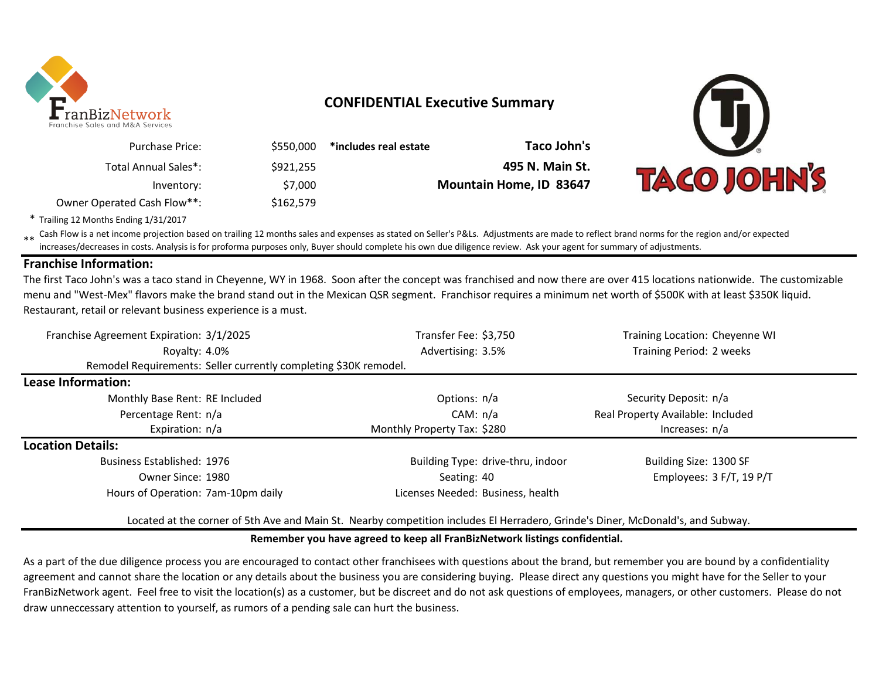

## **CONFIDENTIAL Executive Summary**

\$550,000 **\*includes real estate Taco John's** \$921,255 **495 N. Main St.**



\* Trailing 12 Months Ending 1/31/2017

Owner Operated Cash Flow\*\*:

Purchase Price:

Total Annual Sales\*:

\*\* Cash Flow is a net income projection based on trailing 12 months sales and expenses as stated on Seller's P&Ls. Adjustments are made to reflect brand norms for the region and/or expected increases/decreases in costs. Analysis is for proforma purposes only, Buyer should complete his own due diligence review. Ask your agent for summary of adjustments.

Inventory: \$7,000 **Mountain Home, ID 83647**

\$162,579

### **Franchise Information:**

The first Taco John's was a taco stand in Cheyenne, WY in 1968. Soon after the concept was franchised and now there are over 415 locations nationwide. The customizable menu and "West-Mex" flavors make the brand stand out in the Mexican QSR segment. Franchisor requires a minimum net worth of \$500K with at least \$350K liquid. Restaurant, retail or relevant business experience is a must.

| Franchise Agreement Expiration: 3/1/2025                         | Transfer Fee: \$3,750             | Training Location: Cheyenne WI    |  |  |
|------------------------------------------------------------------|-----------------------------------|-----------------------------------|--|--|
| Royalty: 4.0%                                                    | Advertising: 3.5%                 | Training Period: 2 weeks          |  |  |
| Remodel Requirements: Seller currently completing \$30K remodel. |                                   |                                   |  |  |
| Lease Information:                                               |                                   |                                   |  |  |
| Monthly Base Rent: RE Included                                   | Options: n/a                      | Security Deposit: n/a             |  |  |
| Percentage Rent: n/a                                             | CAM: $n/a$                        | Real Property Available: Included |  |  |
| Expiration: n/a                                                  | Monthly Property Tax: \$280       | Increases: n/a                    |  |  |
| <b>Location Details:</b>                                         |                                   |                                   |  |  |
| Business Established: 1976                                       | Building Type: drive-thru, indoor | Building Size: 1300 SF            |  |  |
| Owner Since: 1980                                                | Seating: 40                       | Employees: 3 F/T, 19 P/T          |  |  |
| Hours of Operation: 7am-10pm daily                               | Licenses Needed: Business, health |                                   |  |  |

Located at the corner of 5th Ave and Main St. Nearby competition includes El Herradero, Grinde's Diner, McDonald's, and Subway.

#### **Remember you have agreed to keep all FranBizNetwork listings confidential.**

As a part of the due diligence process you are encouraged to contact other franchisees with questions about the brand, but remember you are bound by a confidentiality agreement and cannot share the location or any details about the business you are considering buying. Please direct any questions you might have for the Seller to your FranBizNetwork agent. Feel free to visit the location(s) as a customer, but be discreet and do not ask questions of employees, managers, or other customers. Please do not draw unneccessary attention to yourself, as rumors of a pending sale can hurt the business.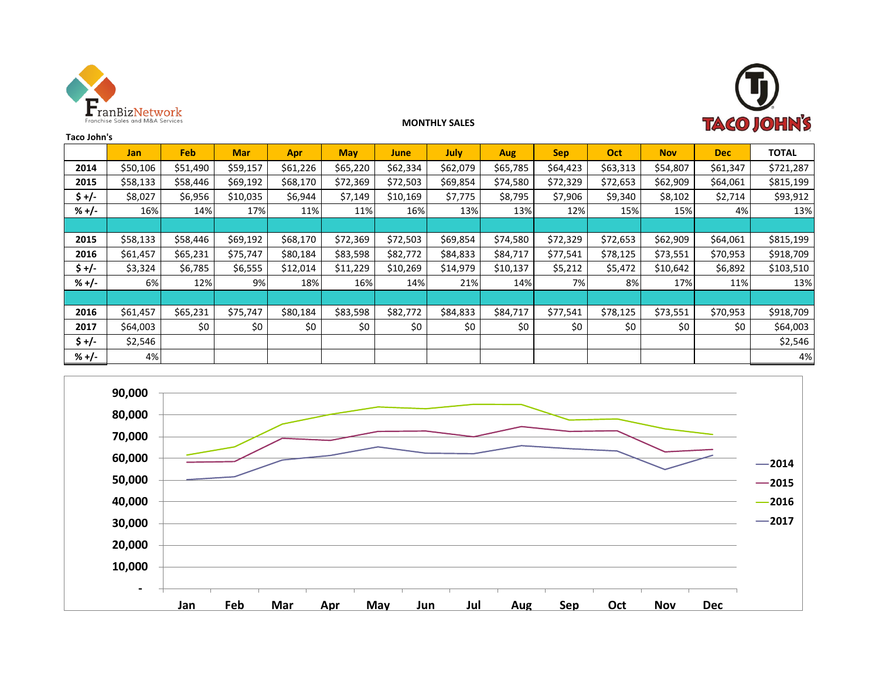



#### **MONTHLY SALES**

| Taco John's |            |            |            |          |            |          |          |            |            |          |            |            |              |
|-------------|------------|------------|------------|----------|------------|----------|----------|------------|------------|----------|------------|------------|--------------|
|             | <b>Jan</b> | <b>Feb</b> | <b>Mar</b> | Apr      | <b>May</b> | June     | July     | <b>Aug</b> | <b>Sep</b> | Oct      | <b>Nov</b> | <b>Dec</b> | <b>TOTAL</b> |
| 2014        | \$50,106   | \$51,490   | \$59,157   | \$61,226 | \$65,220   | \$62,334 | \$62,079 | \$65,785   | \$64,423   | \$63,313 | \$54,807   | \$61,347   | \$721,287    |
| 2015        | \$58,133   | \$58,446   | \$69,192   | \$68,170 | \$72,369   | \$72,503 | \$69,854 | \$74,580   | \$72,329   | \$72,653 | \$62,909   | \$64,061   | \$815,199    |
| $$ +/-$     | \$8,027    | \$6,956    | \$10,035   | \$6,944  | \$7,149    | \$10,169 | \$7,775  | \$8,795    | \$7,906    | \$9,340  | \$8,102    | \$2,714    | \$93,912     |
| $% +/-$     | 16%        | 14%        | 17%        | 11%      | 11%        | 16%      | 13%      | 13%        | 12%        | 15%      | 15%        | 4%         | 13%          |
|             |            |            |            |          |            |          |          |            |            |          |            |            |              |
| 2015        | \$58,133   | \$58,446   | \$69,192   | \$68,170 | \$72,369   | \$72,503 | \$69,854 | \$74,580   | \$72,329   | \$72,653 | \$62,909   | \$64,061   | \$815,199    |
| 2016        | \$61,457   | \$65,231   | \$75,747   | \$80,184 | \$83,598   | \$82,772 | \$84,833 | \$84,717   | \$77,541   | \$78,125 | \$73,551   | \$70,953   | \$918,709    |
| $$ +/-$     | \$3,324    | \$6,785    | \$6,555    | \$12,014 | \$11,229   | \$10,269 | \$14,979 | \$10,137   | \$5,212    | \$5,472  | \$10,642   | \$6,892    | \$103,510    |
| $% +/-$     | 6%         | 12%        | 9%         | 18%      | 16%        | 14%      | 21%      | 14%        | 7%         | 8%       | 17%        | 11%        | 13%          |
|             |            |            |            |          |            |          |          |            |            |          |            |            |              |
| 2016        | \$61,457   | \$65,231   | \$75,747   | \$80,184 | \$83,598   | \$82,772 | \$84,833 | \$84,717   | \$77,541   | \$78,125 | \$73,551   | \$70,953   | \$918,709    |
| 2017        | \$64,003   | \$0        | \$0        | \$0      | \$0        | \$0      | \$0      | \$0        | \$0        | \$0      | \$0        | \$0        | \$64,003     |
| $$ +/-$     | \$2,546    |            |            |          |            |          |          |            |            |          |            |            | \$2,546      |
| $% +/-$     | 4%         |            |            |          |            |          |          |            |            |          |            |            | 4%           |